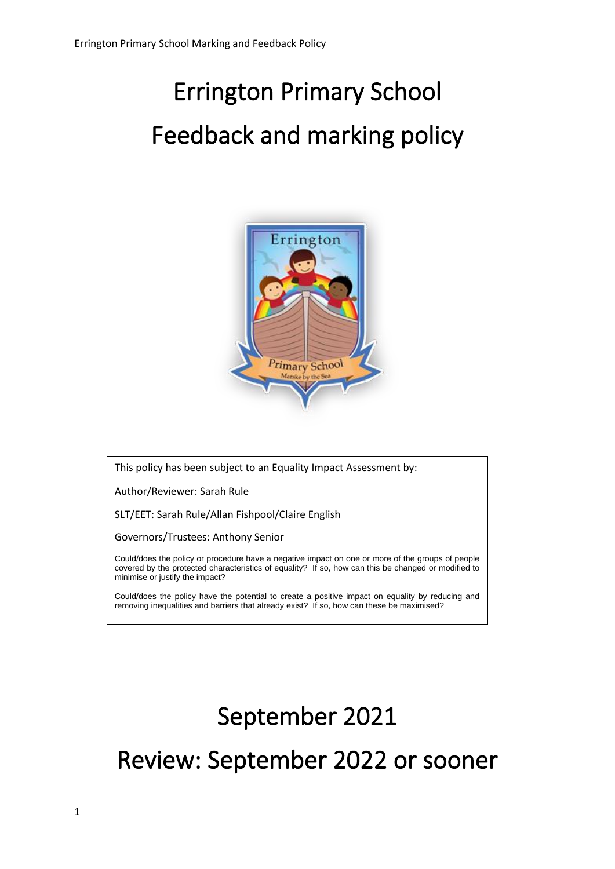# Errington Primary School Feedback and marking policy



This policy has been subject to an Equality Impact Assessment by:

Author/Reviewer: Sarah Rule

SLT/EET: Sarah Rule/Allan Fishpool/Claire English

Governors/Trustees: Anthony Senior

Could/does the policy or procedure have a negative impact on one or more of the groups of people covered by the protected characteristics of equality? If so, how can this be changed or modified to minimise or justify the impact?

Could/does the policy have the potential to create a positive impact on equality by reducing and removing inequalities and barriers that already exist? If so, how can these be maximised?

# September 2021

Review: September 2022 or sooner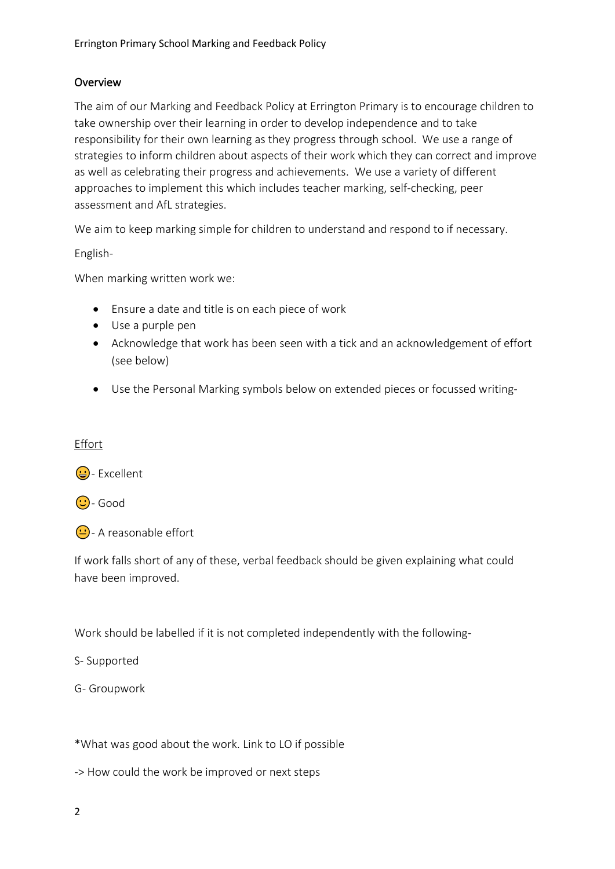## **Overview**

The aim of our Marking and Feedback Policy at Errington Primary is to encourage children to take ownership over their learning in order to develop independence and to take responsibility for their own learning as they progress through school. We use a range of strategies to inform children about aspects of their work which they can correct and improve as well as celebrating their progress and achievements. We use a variety of different approaches to implement this which includes teacher marking, self-checking, peer assessment and AfL strategies.

We aim to keep marking simple for children to understand and respond to if necessary.

English-

When marking written work we:

- Ensure a date and title is on each piece of work
- Use a purple pen
- Acknowledge that work has been seen with a tick and an acknowledgement of effort (see below)
- Use the Personal Marking symbols below on extended pieces or focussed writing-

#### **Effort**

 $\bigodot$ - Excellent

 $\odot$ - Good

 $\bigoplus$  - A reasonable effort

If work falls short of any of these, verbal feedback should be given explaining what could have been improved.

Work should be labelled if it is not completed independently with the following-

S- Supported

G- Groupwork

\*What was good about the work. Link to LO if possible

-> How could the work be improved or next steps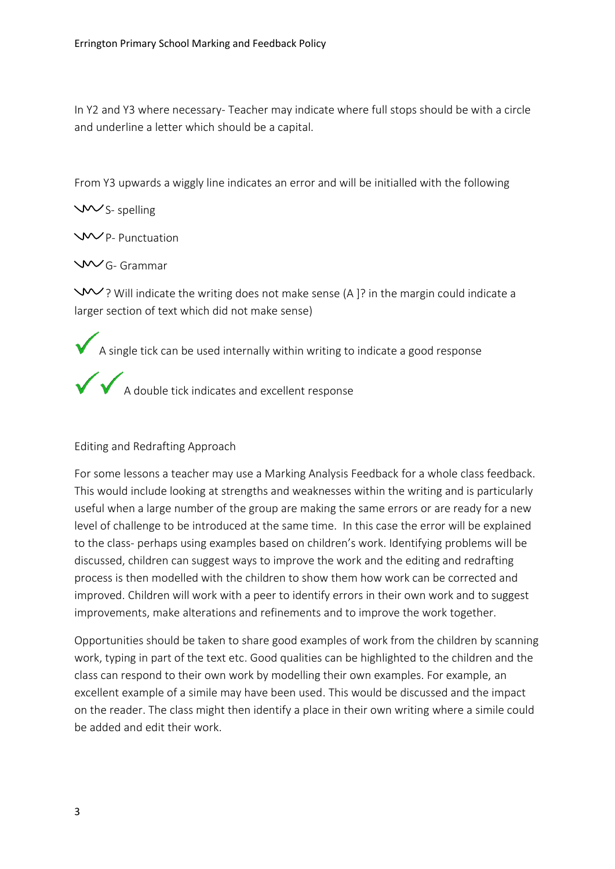In Y2 and Y3 where necessary- Teacher may indicate where full stops should be with a circle and underline a letter which should be a capital.

From Y3 upwards a wiggly line indicates an error and will be initialled with the following

S- spelling

WV P- Punctuation

G- Grammar

 $W'$ ? Will indicate the writing does not make sense (A ]? in the margin could indicate a larger section of text which did not make sense)

A single tick can be used internally within writing to indicate a good response

A double tick indicates and excellent response

#### Editing and Redrafting Approach

For some lessons a teacher may use a Marking Analysis Feedback for a whole class feedback. This would include looking at strengths and weaknesses within the writing and is particularly useful when a large number of the group are making the same errors or are ready for a new level of challenge to be introduced at the same time. In this case the error will be explained to the class- perhaps using examples based on children's work. Identifying problems will be discussed, children can suggest ways to improve the work and the editing and redrafting process is then modelled with the children to show them how work can be corrected and improved. Children will work with a peer to identify errors in their own work and to suggest improvements, make alterations and refinements and to improve the work together.

Opportunities should be taken to share good examples of work from the children by scanning work, typing in part of the text etc. Good qualities can be highlighted to the children and the class can respond to their own work by modelling their own examples. For example, an excellent example of a simile may have been used. This would be discussed and the impact on the reader. The class might then identify a place in their own writing where a simile could be added and edit their work.